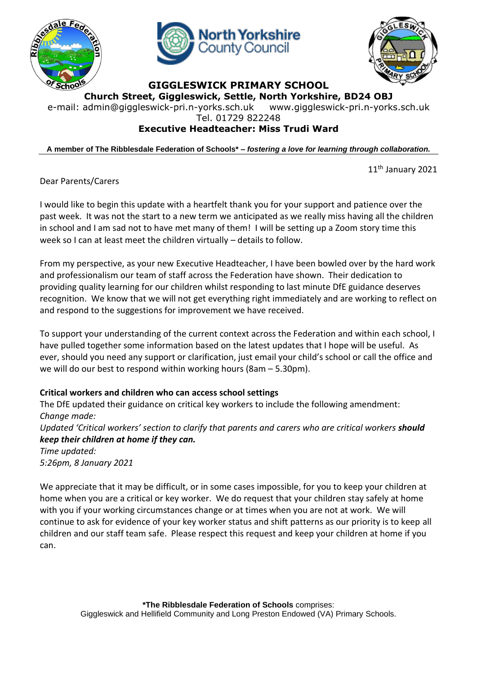





**GIGGLESWICK PRIMARY SCHOOL**

**Church Street, Giggleswick, Settle, North Yorkshire, BD24 OBJ**

e-mail: [admin@giggleswick-pri.n-yorks.sch.uk](mailto:admin@giggleswick-pri.n-yorks.sch.uk) www.giggleswick-pri.n-yorks.sch.uk

Tel. 01729 822248

# **Executive Headteacher: Miss Trudi Ward**

**A member of The Ribblesdale Federation of Schools\* –** *fostering a love for learning through collaboration.*

11<sup>th</sup> January 2021

Dear Parents/Carers

I would like to begin this update with a heartfelt thank you for your support and patience over the past week. It was not the start to a new term we anticipated as we really miss having all the children in school and I am sad not to have met many of them! I will be setting up a Zoom story time this week so I can at least meet the children virtually – details to follow.

From my perspective, as your new Executive Headteacher, I have been bowled over by the hard work and professionalism our team of staff across the Federation have shown. Their dedication to providing quality learning for our children whilst responding to last minute DfE guidance deserves recognition. We know that we will not get everything right immediately and are working to reflect on and respond to the suggestions for improvement we have received.

To support your understanding of the current context across the Federation and within each school, I have pulled together some information based on the latest updates that I hope will be useful. As ever, should you need any support or clarification, just email your child's school or call the office and we will do our best to respond within working hours (8am – 5.30pm).

## **Critical workers and children who can access school settings**

The DfE updated their guidance on critical key workers to include the following amendment: *Change made: Updated 'Critical workers' section to clarify that parents and carers who are critical workers should keep their children at home if they can. Time updated: 5:26pm, 8 January 2021*

We appreciate that it may be difficult, or in some cases impossible, for you to keep your children at home when you are a critical or key worker. We do request that your children stay safely at home with you if your working circumstances change or at times when you are not at work. We will continue to ask for evidence of your key worker status and shift patterns as our priority is to keep all children and our staff team safe. Please respect this request and keep your children at home if you can.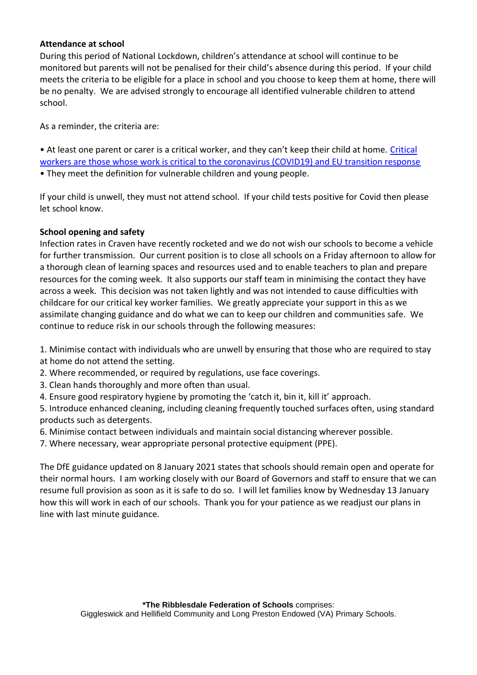### **Attendance at school**

During this period of National Lockdown, children's attendance at school will continue to be monitored but parents will not be penalised for their child's absence during this period. If your child meets the criteria to be eligible for a place in school and you choose to keep them at home, there will be no penalty. We are advised strongly to encourage all identified vulnerable children to attend school.

As a reminder, the criteria are:

• At least one parent or carer is a critical worker, and they can't keep their child at home. [Critical](https://www.gov.uk/government/publications/coronavirus-covid-19-maintaining-educational-provision/guidance-for-schools-colleges-and-local-authorities-on-maintaining-educational-provision)  [workers are those whose work is critical to the coronavirus \(COVID19\) and EU transition response](https://www.gov.uk/government/publications/coronavirus-covid-19-maintaining-educational-provision/guidance-for-schools-colleges-and-local-authorities-on-maintaining-educational-provision) • They meet the definition for vulnerable children and young people.

If your child is unwell, they must not attend school. If your child tests positive for Covid then please let school know.

### **School opening and safety**

Infection rates in Craven have recently rocketed and we do not wish our schools to become a vehicle for further transmission. Our current position is to close all schools on a Friday afternoon to allow for a thorough clean of learning spaces and resources used and to enable teachers to plan and prepare resources for the coming week. It also supports our staff team in minimising the contact they have across a week. This decision was not taken lightly and was not intended to cause difficulties with childcare for our critical key worker families. We greatly appreciate your support in this as we assimilate changing guidance and do what we can to keep our children and communities safe. We continue to reduce risk in our schools through the following measures:

1. Minimise contact with individuals who are unwell by ensuring that those who are required to stay at home do not attend the setting.

2. Where recommended, or required by regulations, use face coverings.

- 3. Clean hands thoroughly and more often than usual.
- 4. Ensure good respiratory hygiene by promoting the 'catch it, bin it, kill it' approach.

5. Introduce enhanced cleaning, including cleaning frequently touched surfaces often, using standard products such as detergents.

6. Minimise contact between individuals and maintain social distancing wherever possible.

7. Where necessary, wear appropriate personal protective equipment (PPE).

The DfE guidance updated on 8 January 2021 states that schools should remain open and operate for their normal hours. I am working closely with our Board of Governors and staff to ensure that we can resume full provision as soon as it is safe to do so. I will let families know by Wednesday 13 January how this will work in each of our schools. Thank you for your patience as we readjust our plans in line with last minute guidance.